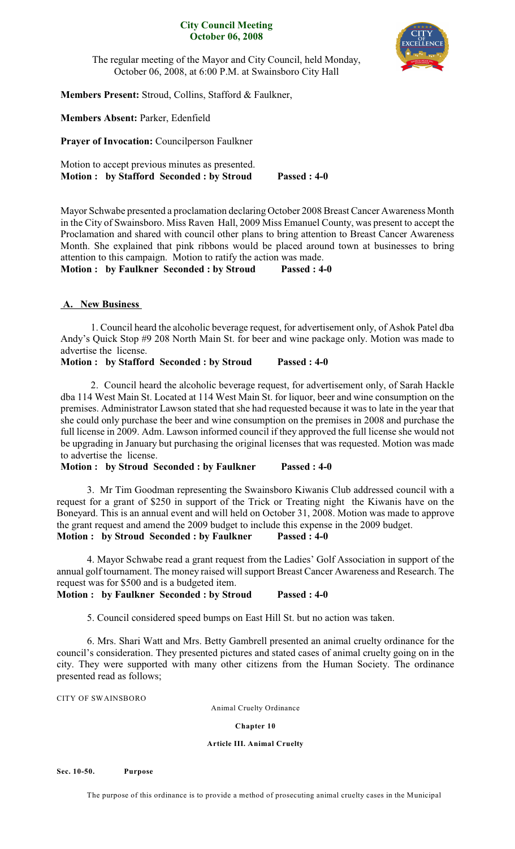# **City Council Meeting October 06, 2008**



The regular meeting of the Mayor and City Council, held Monday, October 06, 2008, at 6:00 P.M. at Swainsboro City Hall

**Members Present:** Stroud, Collins, Stafford & Faulkner,

**Members Absent:** Parker, Edenfield

**Prayer of Invocation:** Councilperson Faulkner

Motion to accept previous minutes as presented. **Motion : by Stafford Seconded : by Stroud Passed : 4-0**

Mayor Schwabe presented a proclamation declaring October 2008 Breast Cancer Awareness Month in the City of Swainsboro. Miss Raven Hall, 2009 Miss Emanuel County, was present to accept the Proclamation and shared with council other plans to bring attention to Breast Cancer Awareness Month. She explained that pink ribbons would be placed around town at businesses to bring attention to this campaign. Motion to ratify the action was made.

**Motion : by Faulkner Seconded : by Stroud Passed : 4-0**

# **A. New Business**

1. Council heard the alcoholic beverage request, for advertisement only, of Ashok Patel dba Andy's Quick Stop #9 208 North Main St. for beer and wine package only. Motion was made to advertise the license.

**Motion : by Stafford Seconded : by Stroud Passed : 4-0**

2. Council heard the alcoholic beverage request, for advertisement only, of Sarah Hackle dba 114 West Main St. Located at 114 West Main St. for liquor, beer and wine consumption on the premises. Administrator Lawson stated that she had requested because it was to late in the year that she could only purchase the beer and wine consumption on the premises in 2008 and purchase the full license in 2009. Adm. Lawson informed council if they approved the full license she would not be upgrading in January but purchasing the original licenses that was requested. Motion was made to advertise the license.

**Motion : by Stroud Seconded : by Faulkner Passed : 4-0**

3. Mr Tim Goodman representing the Swainsboro Kiwanis Club addressed council with a request for a grant of \$250 in support of the Trick or Treating night the Kiwanis have on the Boneyard. This is an annual event and will held on October 31, 2008. Motion was made to approve the grant request and amend the 2009 budget to include this expense in the 2009 budget. **Motion : by Stroud Seconded : by Faulkner Passed : 4-0**

4. Mayor Schwabe read a grant request from the Ladies' Golf Association in support of the annual golf tournament. The money raised will support Breast Cancer Awareness and Research. The request was for \$500 and is a budgeted item.

**Motion : by Faulkner Seconded : by Stroud Passed : 4-0**

5. Council considered speed bumps on East Hill St. but no action was taken.

6. Mrs. Shari Watt and Mrs. Betty Gambrell presented an animal cruelty ordinance for the council's consideration. They presented pictures and stated cases of animal cruelty going on in the city. They were supported with many other citizens from the Human Society. The ordinance presented read as follows;

CITY OF SWAINSBORO

Animal Cruelty Ordinance

**Chapter 10**

# **Article III. Animal Cruelty**

**Sec. 10-50. Purpose**

The purpose of this ordinance is to provide a method of prosecuting animal cruelty cases in the Municipal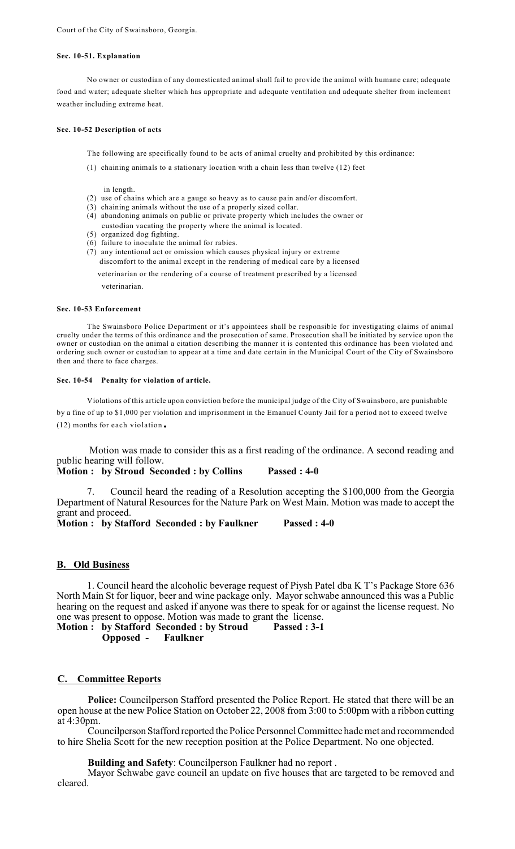## **Sec. 10-51. Explanation**

No owner or custodian of any domesticated animal shall fail to provide the animal with humane care; adequate food and water; adequate shelter which has appropriate and adequate ventilation and adequate shelter from inclement weather including extreme heat.

### **Sec. 10-52 Description of acts**

The following are specifically found to be acts of animal cruelty and prohibited by this ordinance:

(1) chaining animals to a stationary location with a chain less than twelve (12) feet

in length.

- (2) use of chains which are a gauge so heavy as to cause pain and/or discomfort.
- (3) chaining animals without the use of a properly sized collar.
- (4) abandoning animals on public or private property which includes the owner or custodian vacating the property where the animal is located.
- (5) organized dog fighting.
- (6) failure to inoculate the animal for rabies.
- (7) any intentional act or omission which causes physical injury or extreme discomfort to the animal except in the rendering of medical care by a licensed

veterinarian or the rendering of a course of treatment prescribed by a licensed veterinarian.

## **Sec. 10-53 Enforcement**

The Swainsboro Police Department or it's appointees shall be responsible for investigating claims of animal cruelty under the terms of this ordinance and the prosecution of same. Prosecution shall be initiated by service upon the owner or custodian on the animal a citation describing the manner it is contented this ordinance has been violated and ordering such owner or custodian to appear at a time and date certain in the Municipal Court of the City of Swainsboro then and there to face charges.

#### **Sec. 10-54 Penalty for violation of article.**

Violations of this article upon conviction before the municipal judge of the City of Swainsboro, are punishable by a fine of up to \$1,000 per violation and imprisonment in the Emanuel County Jail for a period not to exceed twelve (12) months for each violation.

Motion was made to consider this as a first reading of the ordinance. A second reading and public hearing will follow.

**Motion : by Stroud Seconded : by Collins Passed : 4-0**

7. Council heard the reading of a Resolution accepting the \$100,000 from the Georgia Department of Natural Resources for the Nature Park on West Main. Motion was made to accept the grant and proceed.

**Motion : by Stafford Seconded : by Faulkner Passed : 4-0**

## **B. Old Business**

1. Council heard the alcoholic beverage request of Piysh Patel dba K T's Package Store 636 North Main St for liquor, beer and wine package only. Mayor schwabe announced this was a Public hearing on the request and asked if anyone was there to speak for or against the license request. No one was present to oppose. Motion was made to grant the license.

**Motion : by Stafford Seconded : by Stroud Passed : 3-1 Opposed - Faulkner**

## **C. Committee Reports**

**Police:** Councilperson Stafford presented the Police Report. He stated that there will be an open house at the new Police Station on October 22, 2008 from 3:00 to 5:00pm with a ribbon cutting at 4:30pm.

Councilperson Stafford reported the Police Personnel Committee hade met and recommended to hire Shelia Scott for the new reception position at the Police Department. No one objected.

**Building and Safety**: Councilperson Faulkner had no report .

Mayor Schwabe gave council an update on five houses that are targeted to be removed and cleared.